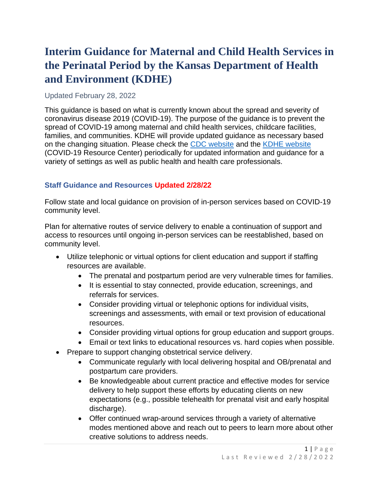# **Interim Guidance for Maternal and Child Health Services in the Perinatal Period by the Kansas Department of Health and Environment (KDHE)**

#### Updated February 28, 2022

This guidance is based on what is currently known about the spread and severity of coronavirus disease 2019 (COVID-19). The purpose of the guidance is to prevent the spread of COVID-19 among maternal and child health services, childcare facilities, families, and communities. KDHE will provide updated guidance as necessary based on the changing situation. Please check the [CDC website](https://www.cdc.gov/coronavirus/2019-ncov/index.html) and the [KDHE website](http://www.kdheks.gov/) (COVID-19 Resource Center) periodically for updated information and guidance for a variety of settings as well as public health and health care professionals.

## **Staff Guidance and Resources Updated 2/28/22**

Follow state and local guidance on provision of in-person services based on COVID-19 community level.

Plan for alternative routes of service delivery to enable a continuation of support and access to resources until ongoing in-person services can be reestablished, based on community level.

- Utilize telephonic or virtual options for client education and support if staffing resources are available.
	- The prenatal and postpartum period are very vulnerable times for families.
	- It is essential to stay connected, provide education, screenings, and referrals for services.
	- Consider providing virtual or telephonic options for individual visits, screenings and assessments, with email or text provision of educational resources.
	- Consider providing virtual options for group education and support groups.
	- Email or text links to educational resources vs. hard copies when possible.
- Prepare to support changing obstetrical service delivery.
	- Communicate regularly with local delivering hospital and OB/prenatal and postpartum care providers.
	- Be knowledgeable about current practice and effective modes for service delivery to help support these efforts by educating clients on new expectations (e.g., possible telehealth for prenatal visit and early hospital discharge).
	- Offer continued wrap-around services through a variety of alternative modes mentioned above and reach out to peers to learn more about other creative solutions to address needs.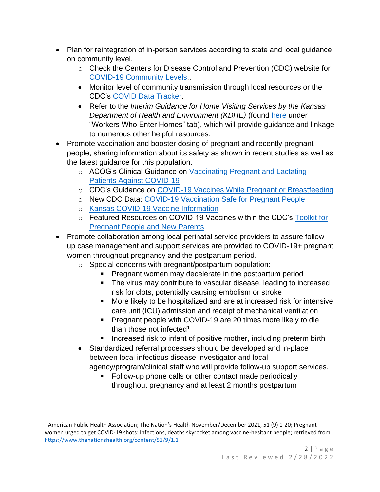- Plan for reintegration of in-person services according to state and local guidance on community level.
	- o Check the Centers for Disease Control and Prevention (CDC) website for [COVID-19 Community Levels.](https://www.cdc.gov/coronavirus/2019-ncov/science/community-levels.html).
	- Monitor level of community transmission through local resources or the CDC's [COVID Data Tracker.](https://covid.cdc.gov/covid-data-tracker/#county-view?list_select_state=all_states&list_select_county=all_counties&data-type=Risk)
	- Refer to the *Interim Guidance for Home Visiting Services by the Kansas Department of Health and Environment (KDHE)* (found [here](https://www.coronavirus.kdheks.gov/248/Business-Employers) under "Workers Who Enter Homes" tab), which will provide guidance and linkage to numerous other helpful resources.
- Promote vaccination and booster dosing of pregnant and recently pregnant people, sharing information about its safety as shown in recent studies as well as the latest guidance for this population.
	- o ACOG's Clinical Guidance on Vaccinating Pregnant and Lactating [Patients Against COVID-19](https://www.acog.org/clinical/clinical-guidance/practice-advisory/articles/2020/12/vaccinating-pregnant-and-lactating-patients-against-covid-19)
	- o CDC's Guidance on [COVID-19 Vaccines While Pregnant or Breastfeeding](https://www.cdc.gov/coronavirus/2019-ncov/vaccines/recommendations/pregnancy.html)
	- o New CDC Data: [COVID-19 Vaccination Safe for Pregnant People](https://www.cdc.gov/media/releases/2021/s0811-vaccine-safe-pregnant.html)
	- o [Kansas COVID-19 Vaccine Information](https://www.kansasvaccine.gov/)
	- o Featured Resources on COVID-19 Vaccines within the CDC's [Toolkit for](https://www.cdc.gov/coronavirus/2019-ncov/communication/toolkits/pregnant-people-and-new-parents.html)  [Pregnant People and New Parents](https://www.cdc.gov/coronavirus/2019-ncov/communication/toolkits/pregnant-people-and-new-parents.html)
- Promote collaboration among local perinatal service providers to assure followup case management and support services are provided to COVID-19+ pregnant women throughout pregnancy and the postpartum period.
	- o Special concerns with pregnant/postpartum population:
		- **Pregnant women may decelerate in the postpartum period**
		- The virus may contribute to vascular disease, leading to increased risk for clots, potentially causing embolism or stroke
		- More likely to be hospitalized and are at increased risk for intensive care unit (ICU) admission and receipt of mechanical ventilation
		- Pregnant people with COVID-19 are 20 times more likely to die than those not infected<sup>1</sup>
		- Increased risk to infant of positive mother, including preterm birth
	- Standardized referral processes should be developed and in-place between local infectious disease investigator and local agency/program/clinical staff who will provide follow-up support services.
		- Follow-up phone calls or other contact made periodically throughout pregnancy and at least 2 months postpartum

<sup>&</sup>lt;sup>1</sup> American Public Health Association; The Nation's Health November/December 2021, 51 (9) 1-20; Pregnant women urged to get COVID-19 shots: Infections, deaths skyrocket among vaccine-hesitant people; retrieved from <https://www.thenationshealth.org/content/51/9/1.1>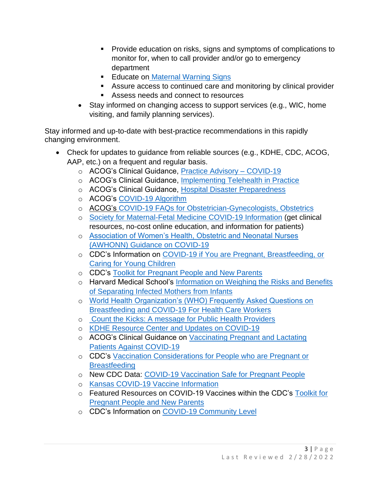- Provide education on risks, signs and symptoms of complications to monitor for, when to call provider and/or go to emergency department
- Educate on [Maternal Warning Signs](https://www.kdhe.ks.gov/504/Maternal-Warning-Signs)
- Assure access to continued care and monitoring by clinical provider
- Assess needs and connect to resources
- Stay informed on changing access to support services (e.g., WIC, home visiting, and family planning services).

Stay informed and up-to-date with best-practice recommendations in this rapidly changing environment.

- Check for updates to guidance from reliable sources (e.g., KDHE, CDC, ACOG, AAP, etc.) on a frequent and regular basis.
	- o ACOG's Clinical Guidance, [Practice Advisory –](https://www.acog.org/clinical/clinical-guidance/practice-advisory/articles/2020/03/novel-coronavirus-2019) COVID-19
	- o ACOG's Clinical Guidance, [Implementing Telehealth in Practice](https://www.acog.org/clinical/clinical-guidance/committee-opinion/articles/2020/02/implementing-telehealth-in-practice)
	- o ACOG's Clinical Guidance, [Hospital Disaster Preparedness](https://www.acog.org/clinical/clinical-guidance/committee-opinion/articles/2017/12/hospital-disaster-preparedness-for-obstetricians-and-facilities-providing-maternity-care)
	- o ACOG's [COVID-19 Algorithm](https://www.acog.org/-/media/project/acog/acogorg/files/pdfs/clinical-guidance/practice-advisory/covid-19-algorithm.pdf)
	- o ACOG's [COVID-19 FAQs for Obstetrician-Gynecologists, Obstetrics](https://www.acog.org/clinical-information/physician-faqs/covid-19-faqs-for-ob-gyns-obstetrics)
	- o [Society for Maternal-Fetal Medicine COVID-19 Information](https://www.smfm.org/) (get clinical resources, no-cost online education, and information for patients)
	- o [Association of Women's Health, Obstetric and Neonatal Nurses](https://awhonn.org/novel-coronavirus-covid-19/)  [\(AWHONN\) Guidance on COVID-19](https://awhonn.org/novel-coronavirus-covid-19/)
	- o CDC's Information on [COVID-19 if You are Pregnant, Breastfeeding, or](https://www.cdc.gov/coronavirus/2019-ncov/need-extra-precautions/pregnancy-breastfeeding.html)  [Caring for Young Children](https://www.cdc.gov/coronavirus/2019-ncov/need-extra-precautions/pregnancy-breastfeeding.html)
	- o CDC's [Toolkit for Pregnant People and New Parents](https://www.cdc.gov/coronavirus/2019-ncov/communication/toolkits/pregnant-people-and-new-parents.html)
	- o Harvard Medical School's [Information on Weighing the Risks and Benefits](https://trends.hms.harvard.edu/2020/03/31/covid-19-separating-infected-mothers-from-newborns-weighing-the-risks-and-benefits/)  [of Separating Infected Mothers from Infants](https://trends.hms.harvard.edu/2020/03/31/covid-19-separating-infected-mothers-from-newborns-weighing-the-risks-and-benefits/)
	- o [World Health Organization's \(WHO\) Frequently Asked Questions on](https://www.who.int/docs/default-source/maternal-health/faqs-breastfeeding-and-covid-19.pdf?sfvrsn=d839e6c0_1)  [Breastfeeding and COVID-19 For Health Care Workers](https://www.who.int/docs/default-source/maternal-health/faqs-breastfeeding-and-covid-19.pdf?sfvrsn=d839e6c0_1)
	- o [Count the Kicks: A message for Public Health Providers](https://countthekicks.org/providers/provideracademy/)
	- o [KDHE Resource Center and Updates on COVID-19](https://www.coronavirus.kdheks.gov/)
	- o ACOG's Clinical Guidance on Vaccinating Pregnant and Lactating [Patients Against COVID-19](https://www.acog.org/clinical/clinical-guidance/practice-advisory/articles/2020/12/vaccinating-pregnant-and-lactating-patients-against-covid-19)
	- o CDC's [Vaccination Considerations for People who are Pregnant or](https://www.cdc.gov/coronavirus/2019-ncov/vaccines/recommendations/pregnancy.html)  **[Breastfeeding](https://www.cdc.gov/coronavirus/2019-ncov/vaccines/recommendations/pregnancy.html)**
	- o New CDC Data: [COVID-19 Vaccination Safe for Pregnant People](https://www.cdc.gov/media/releases/2021/s0811-vaccine-safe-pregnant.html)
	- o [Kansas COVID-19 Vaccine Information](https://www.kansasvaccine.gov/)
	- o Featured Resources on COVID-19 Vaccines within the CDC's [Toolkit for](https://www.cdc.gov/coronavirus/2019-ncov/communication/toolkits/pregnant-people-and-new-parents.html)  [Pregnant People and New Parents](https://www.cdc.gov/coronavirus/2019-ncov/communication/toolkits/pregnant-people-and-new-parents.html)
	- o CDC's Information on [COVID-19 Community Level](https://www.cdc.gov/coronavirus/2019-ncov/science/community-levels.html)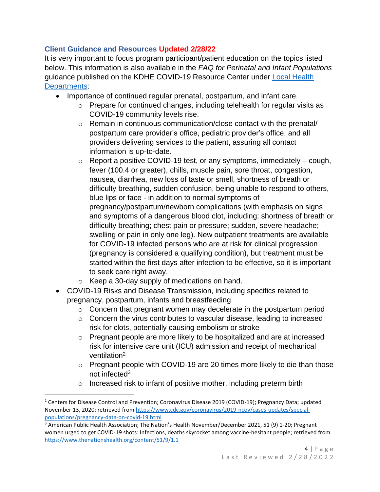## **Client Guidance and Resources Updated 2/28/22**

It is very important to focus program participant/patient education on the topics listed below. This information is also available in the *FAQ for Perinatal and Infant Populations* guidance published on the KDHE COVID-19 Resource Center under Local Health [Departments:](https://www.coronavirus.kdheks.gov/170/Healthcare-Providers)

- Importance of continued regular prenatal, postpartum, and infant care
	- o Prepare for continued changes, including telehealth for regular visits as COVID-19 community levels rise.
	- o Remain in continuous communication/close contact with the prenatal/ postpartum care provider's office, pediatric provider's office, and all providers delivering services to the patient, assuring all contact information is up-to-date.
	- $\circ$  Report a positive COVID-19 test, or any symptoms, immediately cough, fever (100.4 or greater), chills, muscle pain, sore throat, congestion, nausea, diarrhea, new loss of taste or smell, shortness of breath or difficulty breathing, sudden confusion, being unable to respond to others, blue lips or face - in addition to normal symptoms of pregnancy/postpartum/newborn complications (with emphasis on signs and symptoms of a dangerous blood clot, including: shortness of breath or difficulty breathing; chest pain or pressure; sudden, severe headache; swelling or pain in only one leg). New outpatient treatments are available for COVID-19 infected persons who are at risk for clinical progression (pregnancy is considered a qualifying condition), but treatment must be started within the first days after infection to be effective, so it is important to seek care right away.
	- o Keep a 30-day supply of medications on hand.
- COVID-19 Risks and Disease Transmission, including specifics related to pregnancy, postpartum, infants and breastfeeding
	- o Concern that pregnant women may decelerate in the postpartum period
	- o Concern the virus contributes to vascular disease, leading to increased risk for clots, potentially causing embolism or stroke
	- $\circ$  Pregnant people are more likely to be hospitalized and are at increased risk for intensive care unit (ICU) admission and receipt of mechanical ventilation<sup>2</sup>
	- o Pregnant people with COVID-19 are 20 times more likely to die than those not infected<sup>3</sup>
	- o Increased risk to infant of positive mother, including preterm birth

<sup>&</sup>lt;sup>2</sup> Centers for Disease Control and Prevention; Coronavirus Disease 2019 (COVID-19); Pregnancy Data; updated November 13, 2020; retrieved from [https://www.cdc.gov/coronavirus/2019-ncov/cases-updates/special](https://www.cdc.gov/coronavirus/2019-ncov/cases-updates/special-populations/pregnancy-data-on-covid-19.html)[populations/pregnancy-data-on-covid-19.html](https://www.cdc.gov/coronavirus/2019-ncov/cases-updates/special-populations/pregnancy-data-on-covid-19.html)

<sup>3</sup> American Public Health Association; The Nation's Health November/December 2021, 51 (9) 1-20; Pregnant women urged to get COVID-19 shots: Infections, deaths skyrocket among vaccine-hesitant people; retrieved from <https://www.thenationshealth.org/content/51/9/1.1>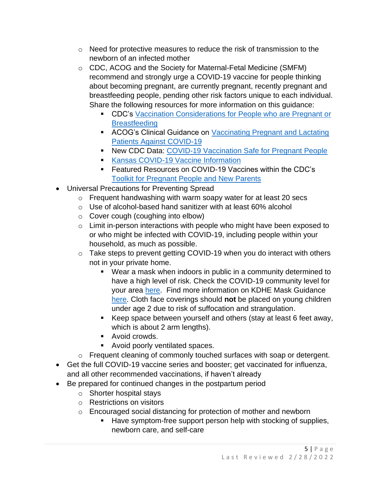- $\circ$  Need for protective measures to reduce the risk of transmission to the newborn of an infected mother
- o CDC, ACOG and the Society for Maternal-Fetal Medicine (SMFM) recommend and strongly urge a COVID-19 vaccine for people thinking about becoming pregnant, are currently pregnant, recently pregnant and breastfeeding people, pending other risk factors unique to each individual. Share the following resources for more information on this guidance:
	- CDC's Vaccination Considerations for People who are Pregnant or **[Breastfeeding](https://www.cdc.gov/coronavirus/2019-ncov/vaccines/recommendations/pregnancy.html)**
	- **EXECC**'s Clinical Guidance on Vaccinating Pregnant and Lactating [Patients Against COVID-19](https://www.acog.org/clinical/clinical-guidance/practice-advisory/articles/2020/12/vaccinating-pregnant-and-lactating-patients-against-covid-19)
	- New CDC Data: [COVID-19 Vaccination Safe for Pregnant People](https://www.cdc.gov/media/releases/2021/s0811-vaccine-safe-pregnant.html)
	- [Kansas COVID-19 Vaccine Information](https://www.kansasvaccine.gov/)
	- Featured Resources on COVID-19 Vaccines within the CDC's [Toolkit for Pregnant People and New Parents](https://www.cdc.gov/coronavirus/2019-ncov/communication/toolkits/pregnant-people-and-new-parents.html)
- Universal Precautions for Preventing Spread
	- o Frequent handwashing with warm soapy water for at least 20 secs
	- o Use of alcohol-based hand sanitizer with at least 60% alcohol
	- o Cover cough (coughing into elbow)
	- o Limit in-person interactions with people who might have been exposed to or who might be infected with COVID-19, including people within your household, as much as possible.
	- o Take steps to prevent getting COVID-19 when you do interact with others not in your private home.
		- [Wear a mask](https://www.cdc.gov/coronavirus/2019-ncov/prevent-getting-sick/about-face-coverings.html) when indoors in public in a community determined to have a high level of risk. Check the COVID-19 community level for your area [here.](https://www.cdc.gov/coronavirus/2019-ncov/science/community-levels.html) Find more information on KDHE Mask Guidance [here.](https://www.coronavirus.kdheks.gov/DocumentCenter/View/441/KDHE-Mask-Guidance-PDF---3-1-21) Cloth face coverings should **not** be placed on young children under age 2 due to risk of suffocation and strangulation.
		- Keep space between yourself and others (stay at least 6 feet away, which is about 2 arm lengths).
		- Avoid crowds.
		- Avoid poorly ventilated spaces.
	- o Frequent cleaning of commonly touched surfaces with soap or detergent.
- Get the full COVID-19 vaccine series and booster; get vaccinated for influenza, and all other recommended vaccinations, if haven't already
- Be prepared for continued changes in the postpartum period
	- o Shorter hospital stays
	- o Restrictions on visitors
	- o Encouraged social distancing for protection of mother and newborn
		- Have symptom-free support person help with stocking of supplies, newborn care, and self-care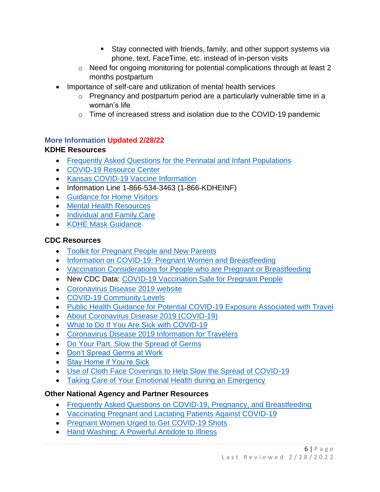- Stay connected with friends, family, and other support systems via phone, text, FaceTime, etc. instead of in-person visits
- o Need for ongoing monitoring for potential complications through at least 2 months postpartum
- Importance of self-care and utilization of mental health services
	- o Pregnancy and postpartum period are a particularly vulnerable time in a woman's life
	- o Time of increased stress and isolation due to the COVID-19 pandemic

## **More Information Updated 2/28/22**

## **KDHE Resources**

- [Frequently Asked Questions for the Perinatal and Infant Populations](https://www.coronavirus.kdheks.gov/170/Healthcare-Providers)
- [COVID-19 Resource Center](https://www.coronavirus.kdheks.gov/)
- [Kansas COVID-19 Vaccine Information](https://www.kansasvaccine.gov/)
- Information Line 1-866-534-3463 (1-866-KDHEINF)
- [Guidance for Home Visitors](https://www.coronavirus.kdheks.gov/248/Business-Employers)
- [Mental Health Resources](https://www.coronavirus.kdheks.gov/244/Mental-Health-Professionals)
- [Individual and Family Care](https://www.coronavirus.kdheks.gov/246/Individual-Family-Care)
- [KDHE Mask Guidance](https://www.coronavirus.kdheks.gov/DocumentCenter/View/441/KDHE-Mask-Guidance-PDF---3-1-21?bidId=#:~:text=KDHE%20recommends%20wearing%20a%20mask,should%20wear%20masks%20in%20public.)

## **CDC Resources**

- [Toolkit for Pregnant People and New Parents](https://www.cdc.gov/coronavirus/2019-ncov/communication/toolkits/pregnant-people-and-new-parents.html)
- [Information on COVID-19: Pregnant Women and Breastfeeding](https://www.cdc.gov/coronavirus/2019-ncov/need-extra-precautions/pregnancy-breastfeeding.html?CDC_AA_refVal=https%3A%2F%2Fwww.cdc.gov%2Fcoronavirus%2F2019-ncov%2Fprepare%2Fpregnancy-breastfeeding.html)
- [Vaccination Considerations for People who are Pregnant or Breastfeeding](https://www.cdc.gov/coronavirus/2019-ncov/vaccines/recommendations/pregnancy.html)
- New CDC Data: [COVID-19 Vaccination Safe for Pregnant People](https://www.cdc.gov/media/releases/2021/s0811-vaccine-safe-pregnant.html)
- [Coronavirus Disease 2019 website](https://www.cdc.gov/coronavirus/2019-ncov/index.html)
- [COVID-19 Community Levels](https://www.cdc.gov/coronavirus/2019-ncov/science/community-levels.html)
- [Public Health Guidance for Potential COVID-19 Exposure Associated with Travel](https://www.cdc.gov/coronavirus/2019-ncov/php/risk-assessment.html)
- [About Coronavirus Disease 2019 \(COVID-19\)](https://www.cdc.gov/coronavirus/2019-ncov/about/index.html)
- What to Do If [You Are Sick with COVID-19](https://www.cdc.gov/coronavirus/2019-ncov/downloads/sick-with-2019-nCoV-fact-sheet.pdf)
- [Coronavirus Disease 2019 Information for Travelers](https://www.cdc.gov/coronavirus/2019-ncov/travelers/index.html)
- [Do Your Part. Slow the Spread of Germs](https://www.cdc.gov/nonpharmaceutical-interventions/pdf/slow-spread-germs-item1.pdf)
- [Don't Spread Germs at Work](https://www.cdc.gov/nonpharmaceutical-interventions/pdf/dont-spread-germs-work-employers-item2.pdf)
- [Stay Home if You're Sick](https://www.cdc.gov/nonpharmaceutical-interventions/pdf/stay-home-youre-sick-item5.pdf)
- [Use of Cloth Face Coverings to Help Slow the Spread of COVID-19](https://www.cdc.gov/coronavirus/2019-ncov/prevent-getting-sick/diy-cloth-face-coverings.html)
- [Taking Care of Your Emotional Health during an Emergency](https://emergency.cdc.gov/coping/selfcare.asp)

## **Other National Agency and Partner Resources**

- [Frequently Asked Questions on COVID-19, Pregnancy, and Breastfeeding](https://www.acog.org/patient-resources/faqs/pregnancy/coronavirus-pregnancy-and-breastfeeding)
- [Vaccinating Pregnant and Lactating Patients Against COVID-19](https://www.acog.org/clinical/clinical-guidance/practice-advisory/articles/2020/12/vaccinating-pregnant-and-lactating-patients-against-covid-19)
- [Pregnant Women Urged to Get COVID-19 Shots](https://www.thenationshealth.org/content/51/9/1.1)
- [Hand Washing: A Powerful Antidote to Illness](https://www.healthychildren.org/English/health-issues/conditions/prevention/Pages/Hand-Washing-A-Powerful-Antidote-to-Illness.aspx)